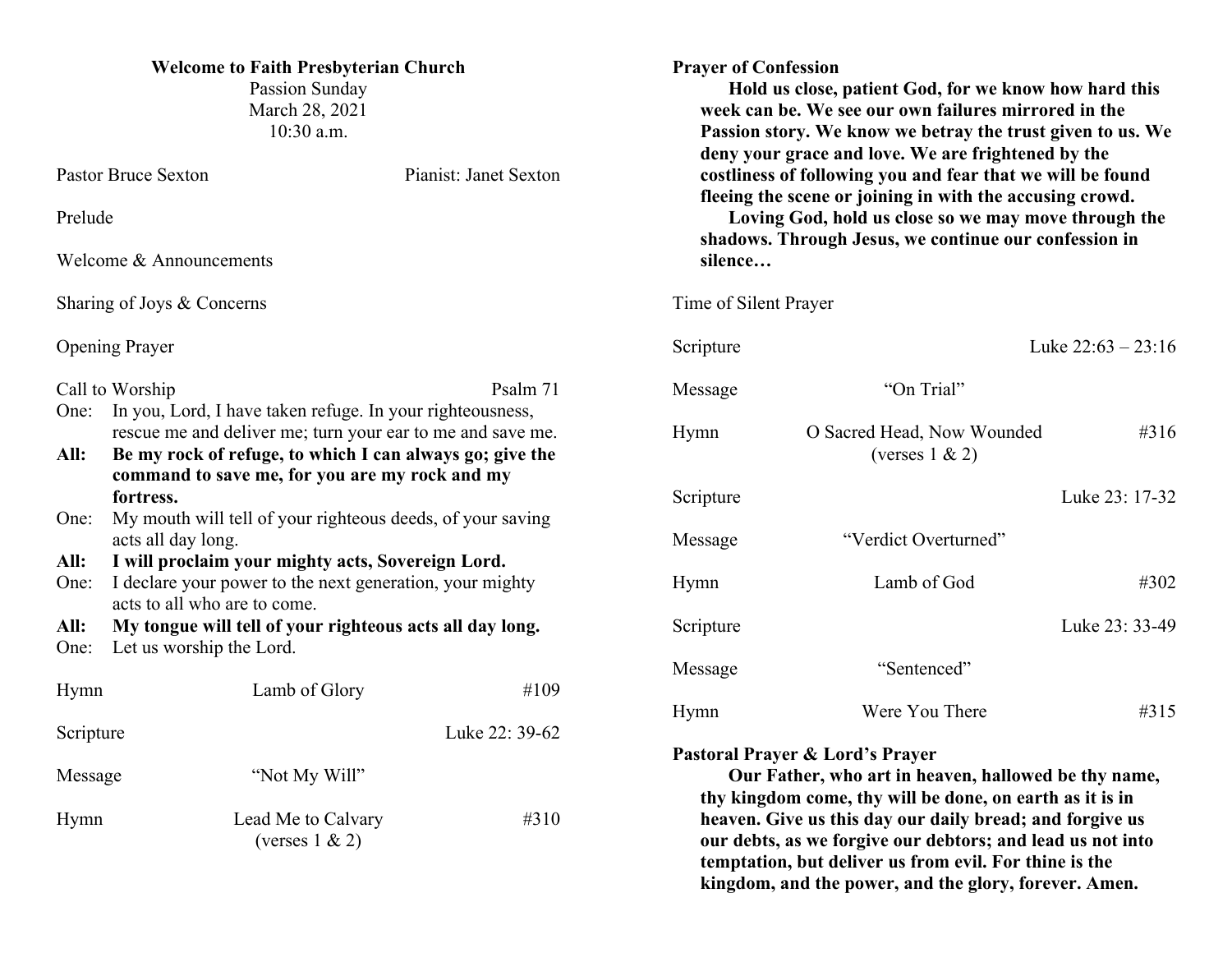| <b>Welcome to Faith Presbyterian Church</b><br>Passion Sunday<br>March 28, 2021<br>10:30 a.m.                                                                                                                                                         |                                           |                |           | <b>Prayer of Confession</b><br>Hold us close, patient God, for we know how hard this<br>week can be. We see our own failures mirrored in the<br>Passion story. We know we betray the trust given to us. We<br>deny your grace and love. We are frightened by the<br>costliness of following you and fear that we will be found<br>fleeing the scene or joining in with the accusing crowd.<br>Loving God, hold us close so we may move through the<br>shadows. Through Jesus, we continue our confession in<br>silence |                                                                                                                                                                                  |                      |
|-------------------------------------------------------------------------------------------------------------------------------------------------------------------------------------------------------------------------------------------------------|-------------------------------------------|----------------|-----------|------------------------------------------------------------------------------------------------------------------------------------------------------------------------------------------------------------------------------------------------------------------------------------------------------------------------------------------------------------------------------------------------------------------------------------------------------------------------------------------------------------------------|----------------------------------------------------------------------------------------------------------------------------------------------------------------------------------|----------------------|
| <b>Pastor Bruce Sexton</b><br>Pianist: Janet Sexton                                                                                                                                                                                                   |                                           |                |           |                                                                                                                                                                                                                                                                                                                                                                                                                                                                                                                        |                                                                                                                                                                                  |                      |
| Prelude                                                                                                                                                                                                                                               |                                           |                |           |                                                                                                                                                                                                                                                                                                                                                                                                                                                                                                                        |                                                                                                                                                                                  |                      |
| Welcome & Announcements                                                                                                                                                                                                                               |                                           |                |           |                                                                                                                                                                                                                                                                                                                                                                                                                                                                                                                        |                                                                                                                                                                                  |                      |
| Sharing of Joys & Concerns                                                                                                                                                                                                                            |                                           |                |           | Time of Silent Prayer                                                                                                                                                                                                                                                                                                                                                                                                                                                                                                  |                                                                                                                                                                                  |                      |
| <b>Opening Prayer</b>                                                                                                                                                                                                                                 |                                           |                |           | Scripture                                                                                                                                                                                                                                                                                                                                                                                                                                                                                                              |                                                                                                                                                                                  | Luke $22:63 - 23:16$ |
|                                                                                                                                                                                                                                                       | Call to Worship                           |                | Psalm 71  | Message                                                                                                                                                                                                                                                                                                                                                                                                                                                                                                                | "On Trial"                                                                                                                                                                       |                      |
| In you, Lord, I have taken refuge. In your righteousness,<br>One:<br>rescue me and deliver me; turn your ear to me and save me.<br>Be my rock of refuge, to which I can always go; give the<br>All:<br>command to save me, for you are my rock and my |                                           |                |           | Hymn                                                                                                                                                                                                                                                                                                                                                                                                                                                                                                                   | O Sacred Head, Now Wounded<br>(verses $1 \& 2$ )                                                                                                                                 | #316                 |
| fortress.                                                                                                                                                                                                                                             |                                           |                | Scripture |                                                                                                                                                                                                                                                                                                                                                                                                                                                                                                                        | Luke 23: 17-32                                                                                                                                                                   |                      |
| My mouth will tell of your righteous deeds, of your saving<br>One:<br>acts all day long.                                                                                                                                                              |                                           |                | Message   | "Verdict Overturned"                                                                                                                                                                                                                                                                                                                                                                                                                                                                                                   |                                                                                                                                                                                  |                      |
| I will proclaim your mighty acts, Sovereign Lord.<br>All:<br>I declare your power to the next generation, your mighty<br>One:<br>acts to all who are to come.                                                                                         |                                           |                |           | Hymn                                                                                                                                                                                                                                                                                                                                                                                                                                                                                                                   | Lamb of God                                                                                                                                                                      | #302                 |
| My tongue will tell of your righteous acts all day long.<br>All:                                                                                                                                                                                      |                                           |                |           | Scripture                                                                                                                                                                                                                                                                                                                                                                                                                                                                                                              |                                                                                                                                                                                  | Luke 23: 33-49       |
| One:                                                                                                                                                                                                                                                  | Let us worship the Lord.<br>Lamb of Glory |                | #109      | Message                                                                                                                                                                                                                                                                                                                                                                                                                                                                                                                | "Sentenced"                                                                                                                                                                      |                      |
| Hymn                                                                                                                                                                                                                                                  |                                           |                |           | Hymn                                                                                                                                                                                                                                                                                                                                                                                                                                                                                                                   | Were You There                                                                                                                                                                   | #315                 |
| Scripture                                                                                                                                                                                                                                             |                                           | Luke 22: 39-62 |           |                                                                                                                                                                                                                                                                                                                                                                                                                                                                                                                        |                                                                                                                                                                                  |                      |
| Message                                                                                                                                                                                                                                               |                                           | "Not My Will"  |           | Pastoral Prayer & Lord's Prayer<br>Our Father, who art in heaven, hallowed be thy name,<br>thy kingdom come, thy will be done, on earth as it is in                                                                                                                                                                                                                                                                                                                                                                    |                                                                                                                                                                                  |                      |
| Hymn                                                                                                                                                                                                                                                  | Lead Me to Calvary<br>(verses $1 \& 2$ )  |                | #310      |                                                                                                                                                                                                                                                                                                                                                                                                                                                                                                                        | heaven. Give us this day our daily bread; and forgive us<br>our debts, as we forgive our debtors; and lead us not into<br>temptation, but deliver us from evil. For thine is the |                      |

**kingdom, and the power, and the glory, forever. Amen.**